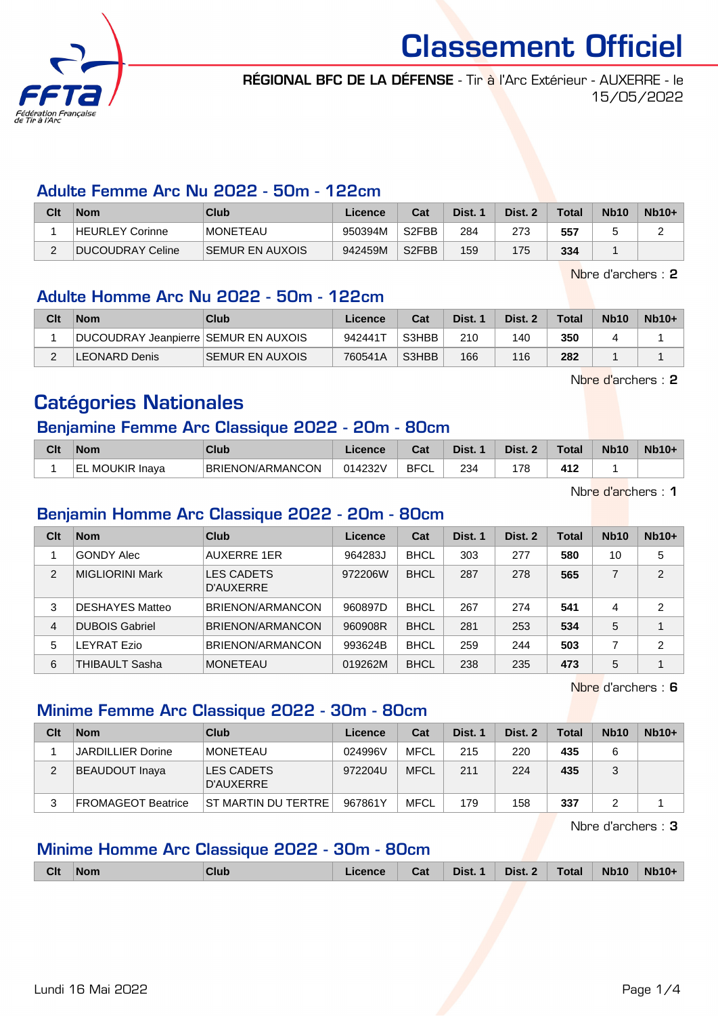

RÉGIONAL BFC DE LA DÉFENSE - Tir à l'Arc Extérieur - AUXERRE - le 15/05/2022

#### Adulte Femme Arc Nu 2022 - 50m - 122cm

| Clt | <b>Nom</b>       | Club                   | Licence | Cat                | Dist. 1 | Dist. 2 | <b>Total</b> | <b>Nb10</b> | $Nb10+$ |
|-----|------------------|------------------------|---------|--------------------|---------|---------|--------------|-------------|---------|
|     | HEURLEY Corinne  | <b>MONETEAU</b>        | 950394M | S <sub>2</sub> FBB | 284     | 273     | 557          |             |         |
|     | DUCOUDRAY Celine | <b>SEMUR EN AUXOIS</b> | 942459M | S <sub>2</sub> FBB | 159     | 175     | 334          |             |         |

Nbre d'archers : 2

#### Adulte Homme Arc Nu 2022 - 50m - 122cm

| Clt | <b>Nom</b>                           | Club                    | Licence | Cat   | Dist. | Dist. 2 | <b>Total</b> | <b>Nb10</b> | $Nb10+$ |
|-----|--------------------------------------|-------------------------|---------|-------|-------|---------|--------------|-------------|---------|
|     | DUCOUDRAY Jeanpierre SEMUR EN AUXOIS |                         | 942441T | S3HBB | 210   | 140     | 350          |             |         |
|     | LEONARD Denis                        | <b>ISEMUR EN AUXOIS</b> | 760541A | S3HBB | 166   | 116     | 282          |             |         |

Nbre d'archers : 2

# Catégories Nationales

#### Benjamine Femme Arc Classique 2022 - 20m - 80cm

| Clt | <b>Nom</b>                 | Club             | icence  | Cat               | Dist. | Dist. 2 | Total        | <b>Nb10</b> | $Nb10+$ |
|-----|----------------------------|------------------|---------|-------------------|-------|---------|--------------|-------------|---------|
|     | <b>MOUKIR Inava</b><br>'EL | BRIENON/ARMANCON | 014232V | <b>BFCI</b><br>◡∟ | 234   | 178     | 417<br>7 I A |             |         |

Nbre d'archers : 1

#### Benjamin Homme Arc Classique 2022 - 20m - 80cm

| Clt | <b>Nom</b>             | Club                           | Licence | Cat         | Dist. 1 | Dist. 2 | Total | <b>Nb10</b> | $Nb10+$                 |
|-----|------------------------|--------------------------------|---------|-------------|---------|---------|-------|-------------|-------------------------|
|     | <b>GONDY Alec</b>      | <b>AUXERRE 1ER</b>             | 964283J | <b>BHCL</b> | 303     | 277     | 580   | 10          | 5                       |
| 2   | <b>MIGLIORINI Mark</b> | <b>LES CADETS</b><br>D'AUXERRE | 972206W | <b>BHCL</b> | 287     | 278     | 565   | ⇁           | $\overline{2}$          |
| 3   | <b>DESHAYES Matteo</b> | BRIENON/ARMANCON               | 960897D | <b>BHCL</b> | 267     | 274     | 541   | 4           | $\overline{2}$          |
| 4   | <b>DUBOIS Gabriel</b>  | BRIENON/ARMANCON               | 960908R | <b>BHCL</b> | 281     | 253     | 534   | 5           | $\overline{\mathbf{A}}$ |
| 5   | LEYRAT Ezio            | BRIENON/ARMANCON               | 993624B | <b>BHCL</b> | 259     | 244     | 503   | ⇁           | $\overline{2}$          |
| 6   | <b>THIBAULT Sasha</b>  | <b>MONETEAU</b>                | 019262M | <b>BHCL</b> | 238     | 235     | 473   | 5           | $\overline{ }$          |

Nbre d'archers : 6

## Minime Femme Arc Classique 2022 - 30m - 80cm

| Clt | <b>Nom</b>               | Club                    | Licence | Cat         | Dist. 1 | Dist. 2 | Total | <b>Nb10</b> | $Nb10+$ |
|-----|--------------------------|-------------------------|---------|-------------|---------|---------|-------|-------------|---------|
|     | <b>JARDILLIER Dorine</b> | MONETEAU                | 024996V | <b>MFCL</b> | 215     | 220     | 435   |             |         |
| 2   | BEAUDOUT Inaya           | LES CADETS<br>D'AUXERRE | 972204U | <b>MFCL</b> | 211     | 224     | 435   |             |         |
| 3   | FROMAGEOT Beatrice       | ST MARTIN DU TERTRE     | 967861Y | <b>MFCL</b> | 179     | 158     | 337   |             |         |

Nbre d'archers : 3

#### Minime Homme Arc Classique 2022 - 30m - 80cm

| <b>Clt</b> | <b>Nom</b> | Club | Licence | Cat | Dist. 1 | Dist. 2 | <b>Total</b> | <b>Nb10</b> | $Nb10+$ |
|------------|------------|------|---------|-----|---------|---------|--------------|-------------|---------|
|            |            |      |         |     |         |         |              |             |         |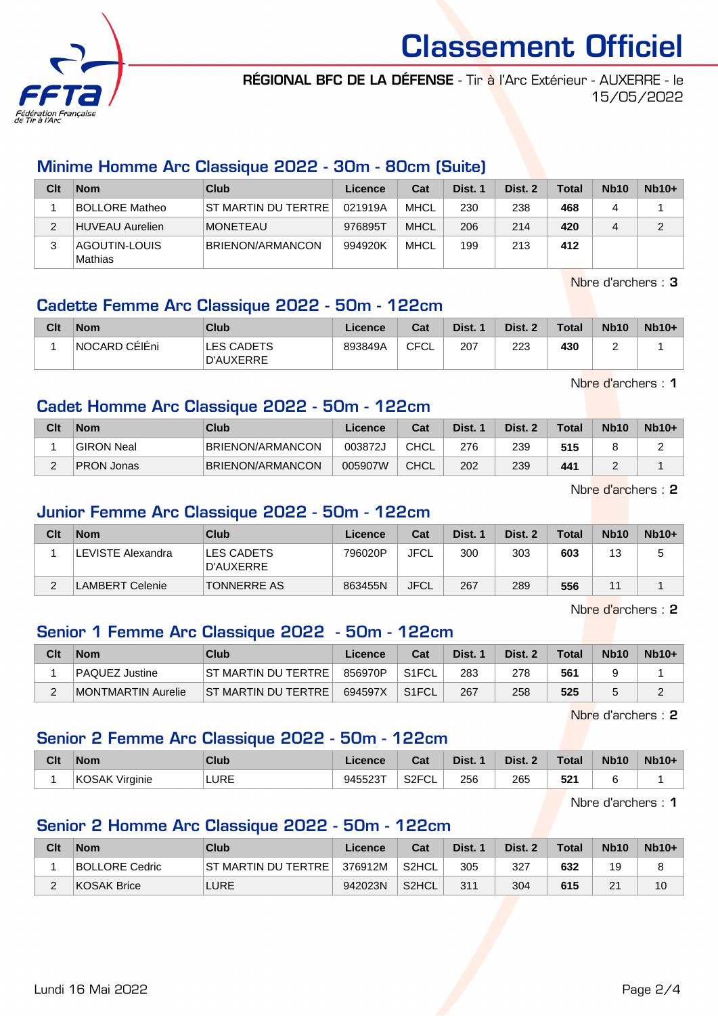

RÉGIONAL BFC DE LA DÉFENSE - Tir à l'Arc Extérieur - AUXERRE - le 15/05/2022

#### Minime Homme Arc Classique 2022 - 30m - 80cm (Suite)

| Clt | <b>Nom</b>               | Club                | Licence | Cat         | Dist. 1 | Dist. 2 | <b>Total</b> | Nb <sub>10</sub> | $Nb10+$ |
|-----|--------------------------|---------------------|---------|-------------|---------|---------|--------------|------------------|---------|
|     | <b>BOLLORE Matheo</b>    | ST MARTIN DU TERTRE | 021919A | <b>MHCL</b> | 230     | 238     | 468          | 4                |         |
|     | HUVEAU Aurelien          | <b>MONETEAU</b>     | 976895T | <b>MHCL</b> | 206     | 214     | 420          | 4                | 2       |
|     | AGOUTIN-LOUIS<br>Mathias | BRIENON/ARMANCON    | 994920K | <b>MHCL</b> | 199     | 213     | 412          |                  |         |

Nbre d'archers : 3

#### Cadette Femme Arc Classique 2022 - 50m - 122cm

| Clt | <b>Nom</b>     | Club                    | Licence | Cat  | Dist. 1 | Dist. 2 | <b>Total</b> | <b>Nb10</b> | $Nb10+$ |
|-----|----------------|-------------------------|---------|------|---------|---------|--------------|-------------|---------|
|     | ∣NOCARD CÉIÉni | LES CADETS<br>D'AUXERRE | 893849A | CFCL | 207     | 223     | 430          | -           |         |

Nbre d'archers : 1

#### Cadet Homme Arc Classique 2022 - 50m - 122cm

| Clt        | <b>Nom</b>        | Club             | Licence | Cat         | Dist. | Dist. | <b>Total</b> | <b>Nb10</b> | $Nb10+$ |
|------------|-------------------|------------------|---------|-------------|-------|-------|--------------|-------------|---------|
|            | <b>GIRON Neal</b> | BRIENON/ARMANCON | 003872J | <b>CHCL</b> | 276   | 239   | 515          |             |         |
| $\sqrt{2}$ | <b>PRON Jonas</b> | BRIENON/ARMANCON | 005907W | <b>CHCL</b> | 202   | 239   | 441          | -           |         |

Nbre d'archers : 2

### Junior Femme Arc Classique 2022 - 50m - 122cm

| Clt | <b>Nom</b>        | Club                           | Licence | Cat         | Dist. 1 | Dist. 2 | <b>Total</b> | <b>Nb10</b> | $Nb10+$ |
|-----|-------------------|--------------------------------|---------|-------------|---------|---------|--------------|-------------|---------|
|     | LEVISTE Alexandra | <b>LES CADETS</b><br>D'AUXERRE | 796020P | <b>JFCL</b> | 300     | 303     | 603          | 13          |         |
| C   | AMBERT Celenie    | <b>TONNERRE AS</b>             | 863455N | <b>JFCL</b> | 267     | 289     | 556          | 4.          |         |

Nbre d'archers : 2

#### Senior 1 Femme Arc Classique 2022 - 50m - 122cm

| Clt | <b>Nom</b>         | Club                   | Licence | Cat                | Dist. 1 | Dist. 2 | <b>Total</b> | <b>Nb10</b> | $Nb10+$ |
|-----|--------------------|------------------------|---------|--------------------|---------|---------|--------------|-------------|---------|
|     | PAQUEZ Justine     | ST MARTIN DU TERTRE    | 856970P | S <sub>1</sub> FCL | 283     | 278     | 561          |             |         |
| -   | MONTMARTIN Aurelie | IST MARTIN DU TERTRE I | 694597X | S <sub>1</sub> FCL | 267     | 258     | 525          |             |         |

Nbre d'archers : 2

#### Senior 2 Femme Arc Classique 2022 - 50m - 122cm

| Clt | <b>Nom</b>               | Club | Licence | Cat                | Dist. | Dist. 2 | $\tau$ otal | <b>Nb10</b> | $Nb10+$ |
|-----|--------------------------|------|---------|--------------------|-------|---------|-------------|-------------|---------|
|     | <b>KOSAK</b><br>Virginie | LURE | 945523T | S <sub>2</sub> FCL | 256   | 265     | 521<br>__   |             |         |

Nbre d'archers : 1

#### Senior 2 Homme Arc Classique 2022 - 50m - 122cm

| Clt | <b>Nom</b>     | Club                | Licence | Cat   | Dist. 1 | Dist. 2 | <b>Total</b> | <b>Nb10</b> | $Nb10+$ |
|-----|----------------|---------------------|---------|-------|---------|---------|--------------|-------------|---------|
|     | BOLLORE Cedric | ST MARTIN DU TERTRE | 376912M | S2HCL | 305     | 327     | 632          | 19          |         |
| -   | KOSAK Brice    | <b>LURE</b>         | 942023N | S2HCL | 311     | 304     | 615          | 21          | 10      |

Lundi 16 Mai 2022 Page 2/4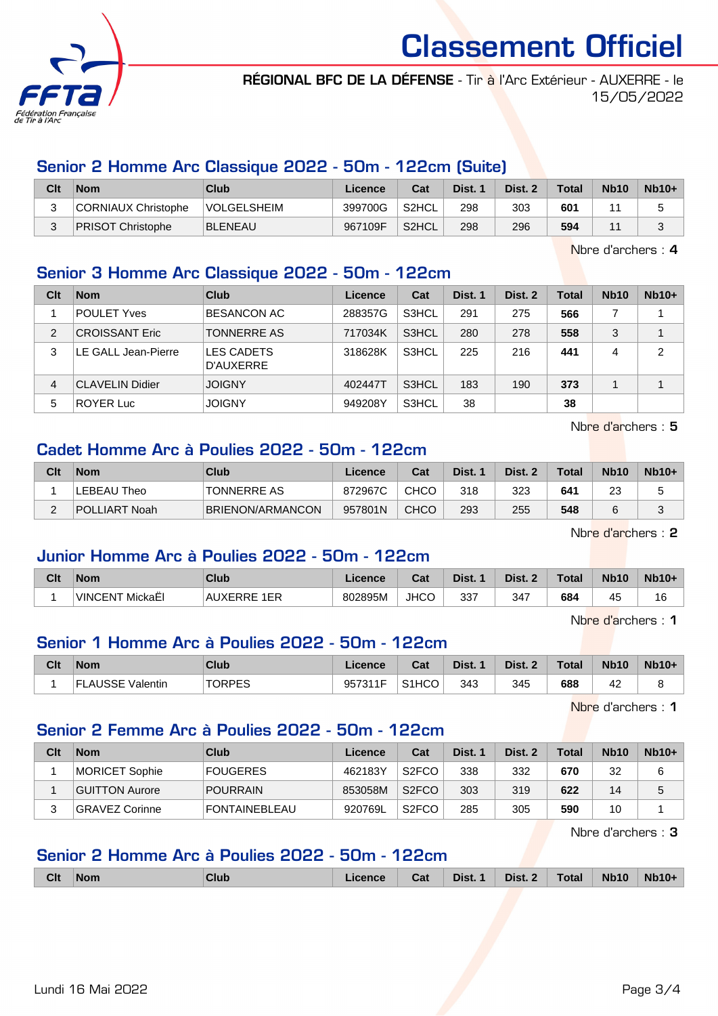

RÉGIONAL BFC DE LA DÉFENSE - Tir à l'Arc Extérieur - AUXERRE - le 15/05/2022

#### Senior 2 Homme Arc Classique 2022 - 50m - 122cm (Suite)

| Clt | <b>Nom</b>               | Club               | Licence | Cat                | Dist. 1 | Dist. 2 | <b>Total</b> | <b>Nb10</b> | $Nb10+$ |
|-----|--------------------------|--------------------|---------|--------------------|---------|---------|--------------|-------------|---------|
|     | CORNIAUX Christophe      | <b>VOLGELSHEIM</b> | 399700G | S <sub>2</sub> HCL | 298     | 303     | 601          |             |         |
|     | <b>PRISOT Christophe</b> | BLENEAU            | 967109F | S2HCL              | 298     | 296     | 594          |             |         |

Nbre d'archers : 4

#### Senior 3 Homme Arc Classique 2022 - 50m - 122cm

**Clt Nom Club Licence Cat Dist. 1 Dist. 2 Total Nb10 Nb10+** POULET Yves BESANCON AC 288357G S3HCL 291 275 **566** 7 1 CROISSANT Eric TONNERRE AS 717034K S3HCL 280 278 **558** 3 1 LE GALL Jean-Pierre LES CADETS D'AUXERRE 318628K S3HCL 225 216 **441** 4 2 CLAVELIN Didier JOIGNY 402447T S3HCL 183 190 **373** 1 1 ROYER Luc JOIGNY 949208Y S3HCL 38 **38**

Nbre d'archers : 5

#### Cadet Homme Arc à Poulies 2022 - 50m - 122cm

| Clt | <b>Nom</b>    | Club               | Licence | Cat  | Dist. | Dist. 2 | <b>Total</b> | <b>Nb10</b> | $Nb10+$ |
|-----|---------------|--------------------|---------|------|-------|---------|--------------|-------------|---------|
|     | LEBEAU Theo   | <b>TONNERRE AS</b> | 872967C | CHCO | 318   | 323     | 641          | 23          | J       |
|     | POLLIART Noah | BRIENON/ARMANCON   | 957801N | CHCO | 293   | 255     | 548          |             | J       |

Nbre d'archers : 2

#### Junior Homme Arc à Poulies 2022 - 50m - 122cm

| Clt | <b>Nom</b>                                | Club                         | Licence | ่ ี่<br>ua  | Dist.     | Dist. 2 | Total | <b>Nb10</b> | $Nb10+$ |
|-----|-------------------------------------------|------------------------------|---------|-------------|-----------|---------|-------|-------------|---------|
|     | <u>. н. е</u><br><b>VINCENT</b><br>MickaE | 1ER<br><b>FRRE</b><br>AUXER. | 802895M | <b>JHCC</b> | 227<br>ບບ | 347     | 684   | л.          | 16      |

Nbre d'archers : 1

#### Senior 1 Homme Arc à Poulies 2022 - 50m - 122cm

| Clt | <b>Nom</b>                   | <b>Club</b>   | Licence | <b>Cost</b><br>ખ્વા            | Dist. | Dist. | <b>Total</b> | <b>Nb10</b> | <b>Nb10+</b> |
|-----|------------------------------|---------------|---------|--------------------------------|-------|-------|--------------|-------------|--------------|
|     | <b>LAUSSE Valentin</b><br>н. | <b>TORPES</b> | 957311F | S <sub>1</sub> H <sub>CO</sub> | 343   | 345   | 688          | 42          | -            |

Nbre d'archers : 1

#### Senior 2 Femme Arc à Poulies 2022 - 50m - 122cm

| Clt | <b>Nom</b>     | <b>Club</b>     | Licence | Cat                | Dist. 1 | Dist. 2 | <b>Total</b> | <b>Nb10</b> | $Nb10+$ |
|-----|----------------|-----------------|---------|--------------------|---------|---------|--------------|-------------|---------|
|     | MORICET Sophie | <b>FOUGERES</b> | 462183Y | S <sub>2</sub> FCO | 338     | 332     | 670          | 32          | 6       |
|     | GUITTON Aurore | <b>POURRAIN</b> | 853058M | S <sub>2</sub> FCO | 303     | 319     | 622          | 14          | 5       |
| ົ   | GRAVEZ Corinne | FONTAINEBLEAU   | 920769L | S <sub>2</sub> FCO | 285     | 305     | 590          | 10          |         |

Nbre d'archers : 3

#### Senior 2 Homme Arc à Poulies 2022 - 50m - 122cm

|  | Dist. 2<br><b>Nb10-</b><br>Dist.<br><b>Nb10</b><br>Cat<br>Clt<br><b>Total</b><br>Club<br>$-1$<br>.icence<br><b>Nom</b> |
|--|------------------------------------------------------------------------------------------------------------------------|
|--|------------------------------------------------------------------------------------------------------------------------|